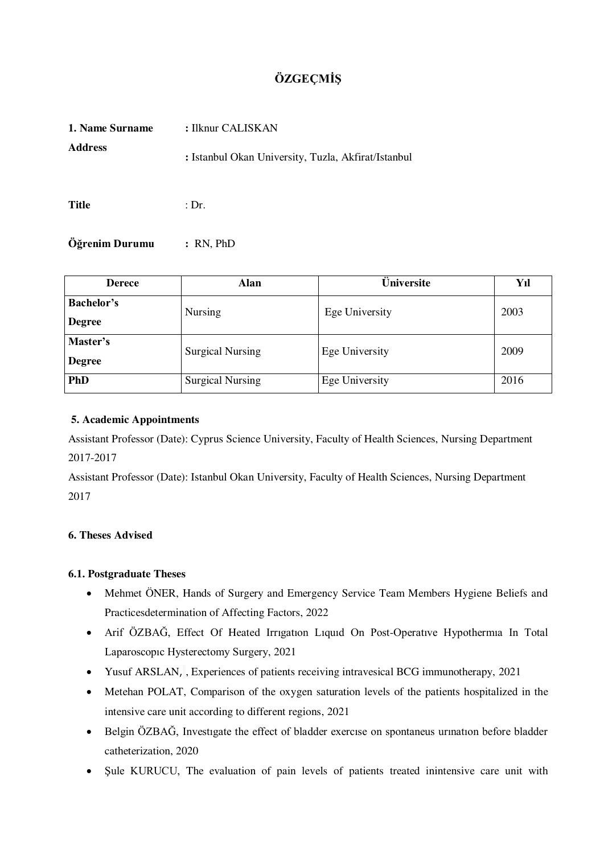# **ÖZGEÇMİŞ**

| 1. Name Surname | : Ilknur CALISKAN                                   |  |  |  |
|-----------------|-----------------------------------------------------|--|--|--|
| <b>Address</b>  | : Istanbul Okan University, Tuzla, Akfirat/Istanbul |  |  |  |
| <b>Title</b>    | : Dr.                                               |  |  |  |

**Öğrenim Durumu :** RN, PhD

| <b>Derece</b>                         | Alan                    | $\overline{\mathbf{\ddot{U}}}$ niversite | Yıl  |  |
|---------------------------------------|-------------------------|------------------------------------------|------|--|
| <b>Bachelor's</b>                     | <b>Nursing</b>          | Ege University                           | 2003 |  |
| <b>Degree</b>                         |                         |                                          |      |  |
| Master's                              | <b>Surgical Nursing</b> | Ege University                           | 2009 |  |
| <b>Degree</b>                         |                         |                                          |      |  |
| <b>PhD</b><br><b>Surgical Nursing</b> |                         | Ege University                           | 2016 |  |

## **5. Academic Appointments**

Assistant Professor (Date): Cyprus Science University, Faculty of Health Sciences, Nursing Department 2017-2017

Assistant Professor (Date): Istanbul Okan University, Faculty of Health Sciences, Nursing Department 2017

## **6. Theses Advised**

## **6.1. Postgraduate Theses**

- Mehmet ÖNER, Hands of Surgery and Emergency Service Team Members Hygiene Beliefs and Practicesdetermination of Affecting Factors, 2022
- Arif ÖZBAĞ, Effect Of Heated Irrıgatıon Lıquıd On Post-Operatıve Hypothermıa In Total Laparoscopıc Hysterectomy Surgery, 2021
- Yusuf ARSLAN, , Experiences of patients receiving intravesical BCG immunotherapy, 2021
- Metehan POLAT, Comparison of the oxygen saturation levels of the patients hospitalized in the intensive care unit according to different regions, 2021
- Belgin ÖZBAĞ, Investıgate the effect of bladder exercıse on spontaneus urınatıon before bladder catheterization, 2020
- Sule KURUCU, The evaluation of pain levels of patients treated inintensive care unit with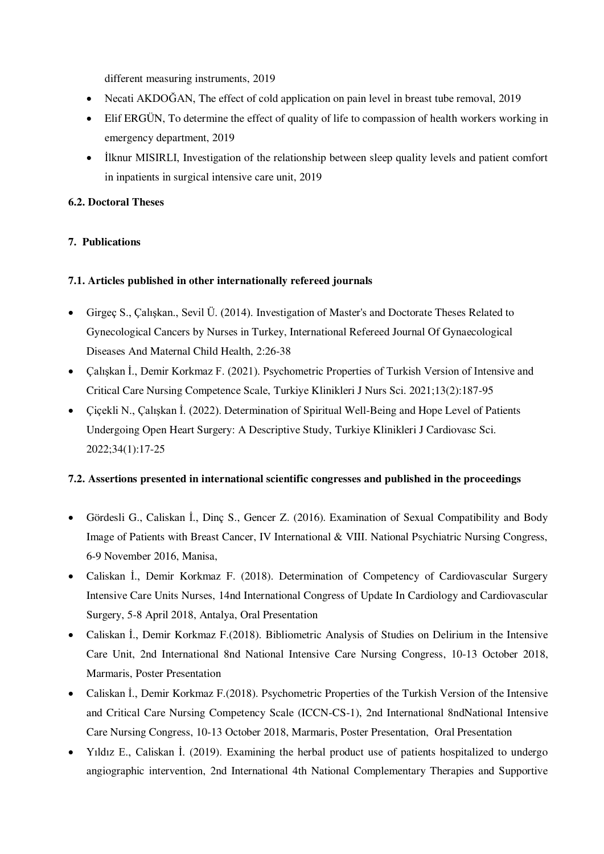different measuring instruments, 2019

- Necati AKDOĞAN, The effect of cold application on pain level in breast tube removal, 2019
- Elif ERGÜN, To determine the effect of quality of life to compassion of health workers working in emergency department, 2019
- Ilknur MISIRLI, Investigation of the relationship between sleep quality levels and patient comfort in inpatients in surgical intensive care unit, 2019

## **6.2. Doctoral Theses**

## **7. Publications**

## **7.1. Articles published in other internationally refereed journals**

- Girgeç S., Çalışkan., Sevil Ü. (2014). Investigation of Master's and Doctorate Theses Related to Gynecological Cancers by Nurses in Turkey, International Refereed Journal Of Gynaecological Diseases And Maternal Child Health, 2:26-38
- Çalışkan İ., Demir Korkmaz F. (2021). Psychometric Properties of Turkish Version of Intensive and Critical Care Nursing Competence Scale, Turkiye Klinikleri J Nurs Sci. 2021;13(2):187-95
- Çiçekli N., Çalışkan İ. (2022). Determination of Spiritual Well-Being and Hope Level of Patients Undergoing Open Heart Surgery: A Descriptive Study, Turkiye Klinikleri J Cardiovasc Sci. 2022;34(1):17-25

## **7.2. Assertions presented in international scientific congresses and published in the proceedings**

- Gördesli G., Caliskan İ., Dinç S., Gencer Z. (2016). Examination of Sexual Compatibility and Body Image of Patients with Breast Cancer, IV International & VIII. National Psychiatric Nursing Congress, 6-9 November 2016, Manisa,
- Caliskan İ., Demir Korkmaz F. (2018). Determination of Competency of Cardiovascular Surgery Intensive Care Units Nurses, 14nd International Congress of Update In Cardiology and Cardiovascular Surgery, 5-8 April 2018, Antalya, Oral Presentation
- Caliskan İ., Demir Korkmaz F.(2018). Bibliometric Analysis of Studies on Delirium in the Intensive Care Unit, 2nd International 8nd National Intensive Care Nursing Congress, 10-13 October 2018, Marmaris, Poster Presentation
- Caliskan İ., Demir Korkmaz F.(2018). Psychometric Properties of the Turkish Version of the Intensive and Critical Care Nursing Competency Scale (ICCN-CS-1), 2nd International 8ndNational Intensive Care Nursing Congress, 10-13 October 2018, Marmaris, Poster Presentation, Oral Presentation
- Yıldız E., Caliskan İ. (2019). Examining the herbal product use of patients hospitalized to undergo angiographic intervention, 2nd International 4th National Complementary Therapies and Supportive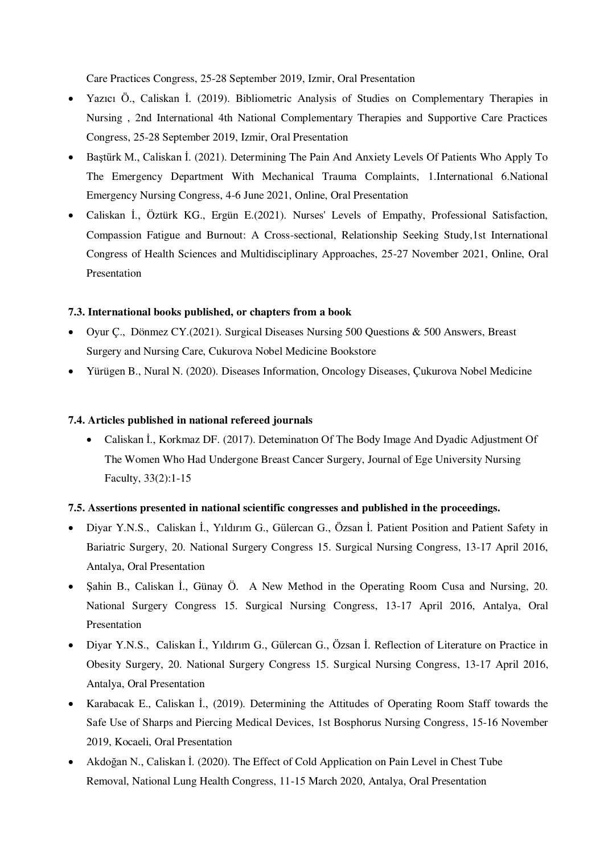Care Practices Congress, 25-28 September 2019, Izmir, Oral Presentation

- Yazıcı Ö., Caliskan İ. (2019). Bibliometric Analysis of Studies on Complementary Therapies in Nursing , 2nd International 4th National Complementary Therapies and Supportive Care Practices Congress, 25-28 September 2019, Izmir, Oral Presentation
- Baştürk M., Caliskan İ. (2021). Determining The Pain And Anxiety Levels Of Patients Who Apply To The Emergency Department With Mechanical Trauma Complaints, 1.International 6.National Emergency Nursing Congress, 4-6 June 2021, Online, Oral Presentation
- Caliskan İ., Öztürk KG., Ergün E.(2021). Nurses' Levels of Empathy, Professional Satisfaction, Compassion Fatigue and Burnout: A Cross-sectional, Relationship Seeking Study,1st International Congress of Health Sciences and Multidisciplinary Approaches, 25-27 November 2021, Online, Oral **Presentation**

#### **7.3. International books published, or chapters from a book**

- Oyur Ç., Dönmez CY.(2021). Surgical Diseases Nursing 500 Questions & 500 Answers, Breast Surgery and Nursing Care, Cukurova Nobel Medicine Bookstore
- Yürügen B., Nural N. (2020). Diseases Information, Oncology Diseases, Çukurova Nobel Medicine

#### **7.4. Articles published in national refereed journals**

 Caliskan İ., Korkmaz DF. (2017). Deteminatıon Of The Body Image And Dyadic Adjustment Of The Women Who Had Undergone Breast Cancer Surgery, Journal of Ege University Nursing Faculty, 33(2):1-15

#### **7.5. Assertions presented in national scientific congresses and published in the proceedings.**

- Diyar Y.N.S., Caliskan İ., Yıldırım G., Gülercan G., Özsan İ. Patient Position and Patient Safety in Bariatric Surgery, 20. National Surgery Congress 15. Surgical Nursing Congress, 13-17 April 2016, Antalya, Oral Presentation
- Sahin B., Caliskan I., Günay Ö. A New Method in the Operating Room Cusa and Nursing, 20. National Surgery Congress 15. Surgical Nursing Congress, 13-17 April 2016, Antalya, Oral Presentation
- Diyar Y.N.S., Caliskan İ., Yıldırım G., Gülercan G., Özsan İ. Reflection of Literature on Practice in Obesity Surgery, 20. National Surgery Congress 15. Surgical Nursing Congress, 13-17 April 2016, Antalya, Oral Presentation
- Karabacak E., Caliskan İ., (2019). Determining the Attitudes of Operating Room Staff towards the Safe Use of Sharps and Piercing Medical Devices, 1st Bosphorus Nursing Congress, 15-16 November 2019, Kocaeli, Oral Presentation
- Akdoğan N., Caliskan İ. (2020). The Effect of Cold Application on Pain Level in Chest Tube Removal, National Lung Health Congress, 11-15 March 2020, Antalya, Oral Presentation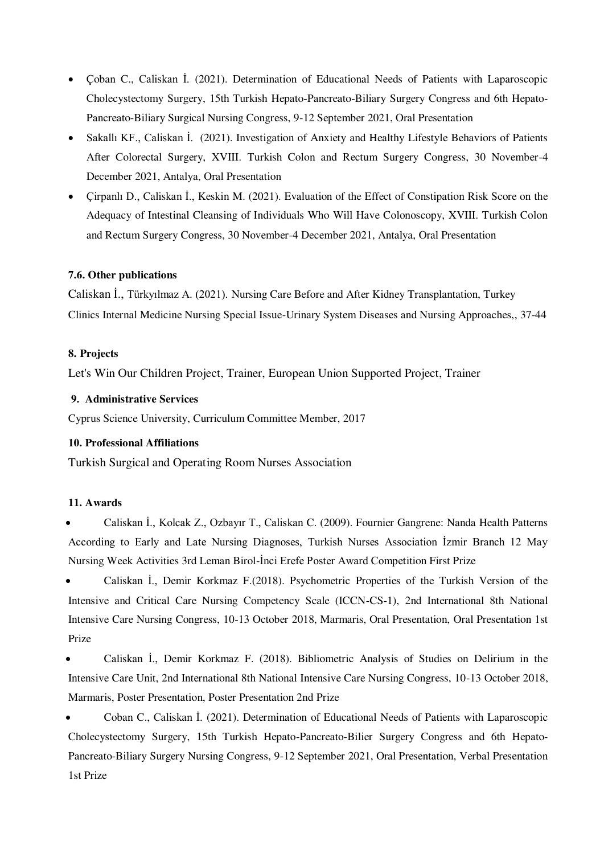- Çoban C., Caliskan İ. (2021). Determination of Educational Needs of Patients with Laparoscopic Cholecystectomy Surgery, 15th Turkish Hepato-Pancreato-Biliary Surgery Congress and 6th Hepato-Pancreato-Biliary Surgical Nursing Congress, 9-12 September 2021, Oral Presentation
- Sakallı KF., Caliskan İ. (2021). Investigation of Anxiety and Healthy Lifestyle Behaviors of Patients After Colorectal Surgery, XVIII. Turkish Colon and Rectum Surgery Congress, 30 November-4 December 2021, Antalya, Oral Presentation
- Çirpanlı D., Caliskan İ., Keskin M. (2021). Evaluation of the Effect of Constipation Risk Score on the Adequacy of Intestinal Cleansing of Individuals Who Will Have Colonoscopy, XVIII. Turkish Colon and Rectum Surgery Congress, 30 November-4 December 2021, Antalya, Oral Presentation

#### **7.6. Other publications**

Caliskan İ., Türkyılmaz A. (2021). Nursing Care Before and After Kidney Transplantation, Turkey Clinics Internal Medicine Nursing Special Issue-Urinary System Diseases and Nursing Approaches,, 37-44

#### **8. Projects**

Let's Win Our Children Project, Trainer, European Union Supported Project, Trainer

#### **9. Administrative Services**

Cyprus Science University, Curriculum Committee Member, 2017

#### **10. Professional Affiliations**

Turkish Surgical and Operating Room Nurses Association

#### **11. Awards**

 Caliskan İ., Kolcak Z., Ozbayır T., Caliskan C. (2009). Fournier Gangrene: Nanda Health Patterns According to Early and Late Nursing Diagnoses, Turkish Nurses Association İzmir Branch 12 May Nursing Week Activities 3rd Leman Birol-İnci Erefe Poster Award Competition First Prize

 Caliskan İ., Demir Korkmaz F.(2018). Psychometric Properties of the Turkish Version of the Intensive and Critical Care Nursing Competency Scale (ICCN-CS-1), 2nd International 8th National Intensive Care Nursing Congress, 10-13 October 2018, Marmaris, Oral Presentation, Oral Presentation 1st Prize

 Caliskan İ., Demir Korkmaz F. (2018). Bibliometric Analysis of Studies on Delirium in the Intensive Care Unit, 2nd International 8th National Intensive Care Nursing Congress, 10-13 October 2018, Marmaris, Poster Presentation, Poster Presentation 2nd Prize

 Coban C., Caliskan İ. (2021). Determination of Educational Needs of Patients with Laparoscopic Cholecystectomy Surgery, 15th Turkish Hepato-Pancreato-Bilier Surgery Congress and 6th Hepato-Pancreato-Biliary Surgery Nursing Congress, 9-12 September 2021, Oral Presentation, Verbal Presentation 1st Prize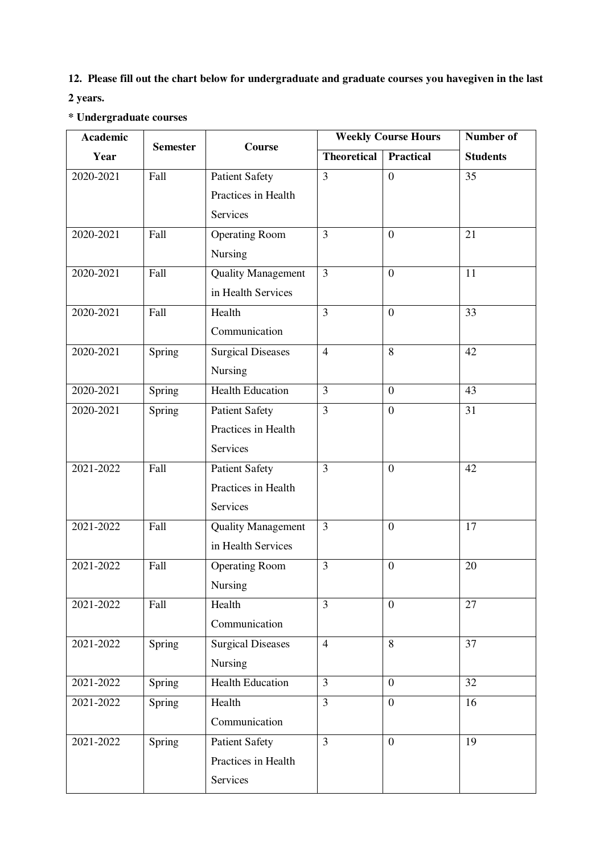**12. Please fill out the chart below for undergraduate and graduate courses you havegiven in the last 2 years.** 

## **\* Undergraduate courses**

| <b>Academic</b><br>Year | <b>Semester</b> | <b>Course</b>             | <b>Weekly Course Hours</b> |                  | Number of       |
|-------------------------|-----------------|---------------------------|----------------------------|------------------|-----------------|
|                         |                 |                           | <b>Theoretical</b>         | Practical        | <b>Students</b> |
| 2020-2021               | Fall            | <b>Patient Safety</b>     | 3                          | $\overline{0}$   | 35              |
|                         |                 | Practices in Health       |                            |                  |                 |
|                         |                 | Services                  |                            |                  |                 |
| 2020-2021               | Fall            | <b>Operating Room</b>     | 3                          | $\overline{0}$   | 21              |
|                         |                 | Nursing                   |                            |                  |                 |
| 2020-2021               | Fall            | <b>Quality Management</b> | 3                          | $\boldsymbol{0}$ | 11              |
|                         |                 | in Health Services        |                            |                  |                 |
| 2020-2021               | Fall            | Health                    | $\overline{3}$             | $\overline{0}$   | 33              |
|                         |                 | Communication             |                            |                  |                 |
| 2020-2021               | Spring          | <b>Surgical Diseases</b>  | $\overline{4}$             | 8                | 42              |
|                         |                 | Nursing                   |                            |                  |                 |
| 2020-2021               | Spring          | <b>Health Education</b>   | 3                          | $\overline{0}$   | 43              |
| 2020-2021               | Spring          | <b>Patient Safety</b>     | $\overline{3}$             | $\overline{0}$   | 31              |
|                         |                 | Practices in Health       |                            |                  |                 |
|                         |                 | Services                  |                            |                  |                 |
| 2021-2022               | Fall            | <b>Patient Safety</b>     | $\overline{3}$             | $\boldsymbol{0}$ | 42              |
|                         |                 | Practices in Health       |                            |                  |                 |
|                         |                 | Services                  |                            |                  |                 |
| 2021-2022               | Fall            | <b>Quality Management</b> | 3                          | $\boldsymbol{0}$ | 17              |
|                         |                 | in Health Services        |                            |                  |                 |
| 2021-2022               | Fall            | <b>Operating Room</b>     | 3                          | $\boldsymbol{0}$ | 20              |
|                         |                 | Nursing                   |                            |                  |                 |
| 2021-2022               | Fall            | Health                    | $\overline{3}$             | $\theta$         | 27              |
|                         |                 | Communication             |                            |                  |                 |
| 2021-2022               | Spring          | <b>Surgical Diseases</b>  | $\overline{4}$             | 8                | 37              |
|                         |                 | Nursing                   |                            |                  |                 |
| 2021-2022               | Spring          | <b>Health Education</b>   | $\overline{3}$             | $\overline{0}$   | $\overline{32}$ |
| 2021-2022               | Spring          | Health                    | $\overline{3}$             | $\boldsymbol{0}$ | 16              |
|                         |                 | Communication             |                            |                  |                 |
| 2021-2022               | Spring          | <b>Patient Safety</b>     | $\overline{3}$             | $\overline{0}$   | 19              |
|                         |                 | Practices in Health       |                            |                  |                 |
|                         |                 | Services                  |                            |                  |                 |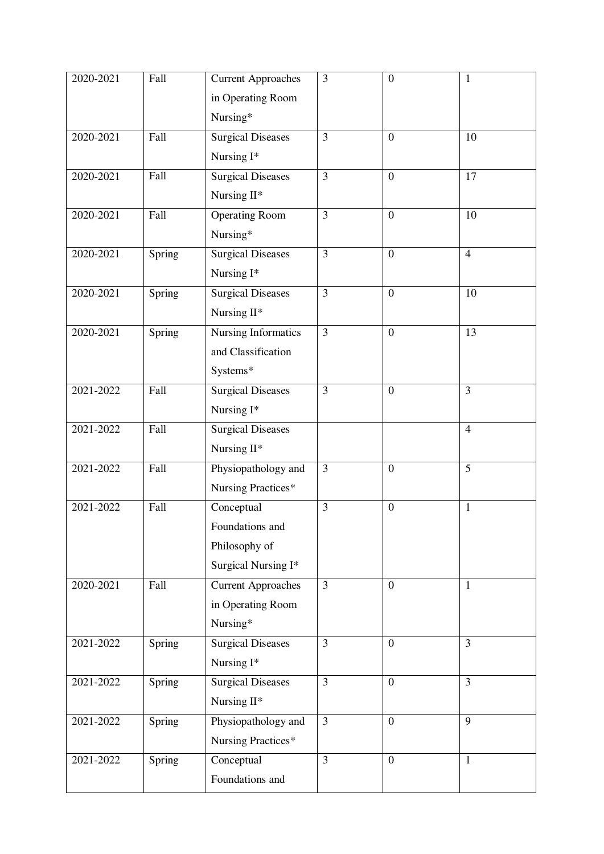| 2020-2021     | Fall   | <b>Current Approaches</b> | 3              | $\boldsymbol{0}$ | 1              |
|---------------|--------|---------------------------|----------------|------------------|----------------|
|               |        | in Operating Room         |                |                  |                |
|               |        | Nursing*                  |                |                  |                |
| 2020-2021     | Fall   | <b>Surgical Diseases</b>  | $\overline{3}$ | $\overline{0}$   | 10             |
|               |        | Nursing I*                |                |                  |                |
| 2020-2021     | Fall   | <b>Surgical Diseases</b>  | 3              | $\overline{0}$   | 17             |
|               |        | Nursing II*               |                |                  |                |
| 2020-2021     | Fall   | <b>Operating Room</b>     | 3              | $\overline{0}$   | 10             |
|               |        | Nursing*                  |                |                  |                |
| 2020-2021     | Spring | <b>Surgical Diseases</b>  | $\overline{3}$ | $\overline{0}$   | $\overline{4}$ |
|               |        | Nursing I*                |                |                  |                |
| 2020-2021     | Spring | <b>Surgical Diseases</b>  | 3              | $\overline{0}$   | 10             |
|               |        | Nursing II*               |                |                  |                |
| 2020-2021     | Spring | Nursing Informatics       | 3              | $\overline{0}$   | 13             |
|               |        | and Classification        |                |                  |                |
|               |        | Systems*                  |                |                  |                |
| 2021-2022     | Fall   |                           | 3              | $\overline{0}$   | 3              |
|               |        | <b>Surgical Diseases</b>  |                |                  |                |
|               |        | Nursing I*                |                |                  |                |
| 2021-2022     | Fall   | <b>Surgical Diseases</b>  |                |                  | $\overline{4}$ |
|               |        | Nursing II*               |                |                  |                |
| 2021-2022     | Fall   | Physiopathology and       | 3              | $\boldsymbol{0}$ | 5              |
|               |        | Nursing Practices*        |                |                  |                |
| 2021-2022     | Fall   | Conceptual                | 3              | $\overline{0}$   | $\mathbf{1}$   |
|               |        | Foundations and           |                |                  |                |
|               |        | Philosophy of             |                |                  |                |
|               |        | Surgical Nursing I*       |                |                  |                |
| 2020-2021     | Fall   | <b>Current Approaches</b> | $\overline{3}$ | $\overline{0}$   | $\mathbf{1}$   |
|               |        | in Operating Room         |                |                  |                |
|               |        | Nursing*                  |                |                  |                |
| 2021-2022     | Spring | <b>Surgical Diseases</b>  | $\overline{3}$ | $\overline{0}$   | $\overline{3}$ |
|               |        | Nursing I*                |                |                  |                |
| 2021-2022     | Spring | <b>Surgical Diseases</b>  | 3              | $\mathbf{0}$     | $\overline{3}$ |
|               |        | Nursing II*               |                |                  |                |
| 2021-2022     | Spring | Physiopathology and       | $\overline{3}$ | $\overline{0}$   | 9              |
|               |        | Nursing Practices*        |                |                  |                |
| $2021 - 2022$ | Spring | Conceptual                | $\overline{3}$ | $\boldsymbol{0}$ | $\mathbf{1}$   |
|               |        | Foundations and           |                |                  |                |